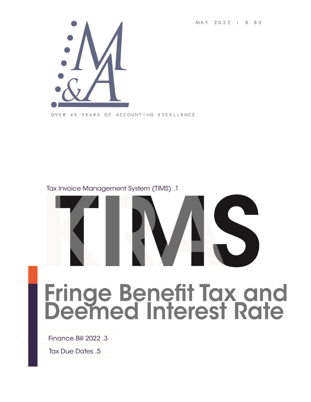MAY 2022 1 8.83



#### Tax Invoice Management System (TIMS).1



# **Fringe Benefit Tax and<br>Deemed Interest Rate**

Finance Bill 2022 .3

**Tax Due Dates .5**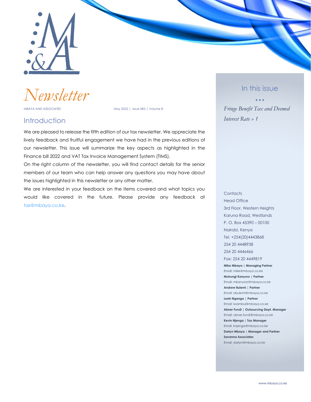

*Newsletter*

MBAYA AND ASSOCIATES MAY 2022 | Issue 083 | Volume 8

#### **Introduction**

We are pleased to release the fifth edition of our tax newsletter. We appreciate the lively feedback and fruitful engagement we have had in the previous editions of our newsletter. This issue will summarize the key aspects as highlighted in the Finance bill 2022 and VAT Tax Invoice Management System (TIMS).

On the right column of the newsletter, you will find contact details for the senior members of our team who can help answer any questions you may have about the issues highlighted in this newsletter or any other matter.

We are interested in your feedback on the items covered and what topics you would like covered in the future. Please provide any feedback at [tax@mbaya.co.ke.](file:///C:/Users/ihink/Desktop/M&A%20Newsletter/Final_2022_vol8_issue79-90/tax@mbaya.co.ke)

In this issue

• • • *Fringe Benefit Tax and Deemed Interest Rate » 1*

**Contacts** Head Office 3rd Floor, Western Heights Karuna Road, Westlands P. O. Box 45390 – 00100 Nairobi, Kenya Tel. +254(20)4443868 254 20 4448938 254 20 4446466 Fax: 254 20 4449819 **Mike Mbaya | Managing Partner** Email: mike@mbaya.co.ke **Muhungi Kanyoro | Partner** Email: mkanyoro@mbaya.co.ke **Andrew Bulemi | Partner** Email: abulemi@mbaya.co.ke **Leah Nganga | Partner** Email: lwambui@mbaya.co.ke **Abner Fundi | Outsourcing Dept. Manager** Email: abner.fundi@mbaya.co.ke **Kevin Njenga | Tax Manager**

**Savanna Associates** Email: darlyn@mbaya.co.ke

Email: knjenga@mbaya.co.ke **Darlyn Mbaya | Manager and Partner**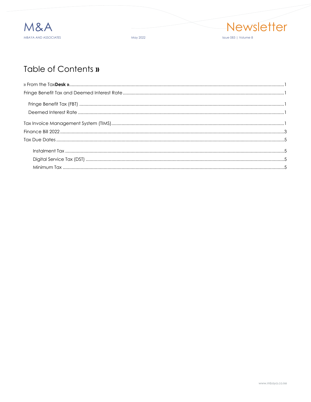

May 2022



# Table of Contents »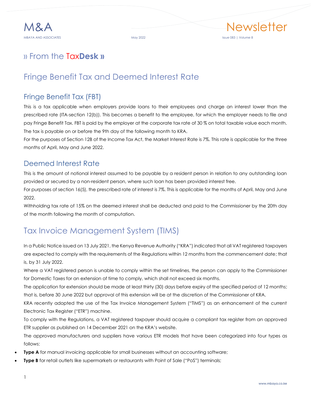# <span id="page-3-0"></span>» From the Tax**Desk »**

# <span id="page-3-1"></span>Fringe Benefit Tax and Deemed Interest Rate

#### <span id="page-3-2"></span>Fringe Benefit Tax (FBT)

This is a tax applicable when employers provide loans to their employees and charge an interest lower than the prescribed rate (ITA-section 12(b)). This becomes a benefit to the employee, for which the employer needs to file and pay Fringe Benefit Tax. FBT is paid by the employer at the corporate tax rate of 30 % on total taxable value each month. The tax is payable on or before the 9th day of the following month to KRA.

For the purposes of Section 12B of the Income Tax Act, the Market Interest Rate is 7%. This rate is applicable for the three months of April, May and June 2022.

#### <span id="page-3-3"></span>Deemed Interest Rate

This is the amount of notional interest assumed to be payable by a resident person in relation to any outstanding loan provided or secured by a non-resident person, where such loan has been provided interest free.

For purposes of section 16(5), the prescribed rate of interest is 7%. This is applicable for the months of April, May and June 2022.

Withholding tax rate of 15% on the deemed interest shall be deducted and paid to the Commissioner by the 20th day of the month following the month of computation.

# <span id="page-3-4"></span>Tax Invoice Management System (TIMS)

In a Public Notice issued on 13 July 2021, the Kenya Revenue Authority ("KRA") indicated that all VAT registered taxpayers are expected to comply with the requirements of the Regulations within 12 months from the commencement date; that is, by 31 July 2022.

Where a VAT registered person is unable to comply within the set timelines, the person can apply to the Commissioner for Domestic Taxes for an extension of time to comply, which shall not exceed six months.

The application for extension should be made at least thirty (30) days before expiry of the specified period of 12 months; that is, before 30 June 2022 but approval of this extension will be at the discretion of the Commissioner of KRA.

KRA recently adopted the use of the Tax Invoice Management System ("TIMS") as an enhancement of the current Electronic Tax Register ("ETR") machine.

To comply with the Regulations, a VAT registered taxpayer should acquire a compliant tax register from an approved ETR supplier as published on 14 December 2021 on the KRA's website.

The approved manufacturers and suppliers have various ETR models that have been categorized into four types as follows:

- **Type A** for manual invoicing applicable for small businesses without an accounting software;
- **Type B** for retail outlets like supermarkets or restaurants with Point of Sale ("PoS") terminals;

Newsletter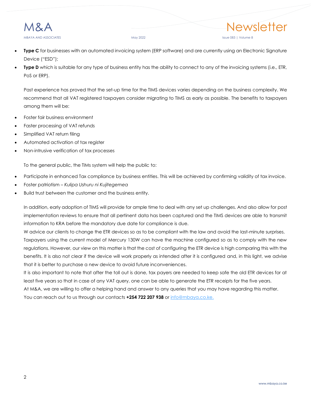

- **Type C** for businesses with an automated invoicing system (ERP software) and are currently using an Electronic Signature Device ("ESD");
- **Type D** which is suitable for any type of business entity has the ability to connect to any of the invoicing systems (i.e., ETR, PoS or ERP).

Past experience has proved that the set-up time for the TIMS devices varies depending on the business complexity. We recommend that all VAT registered taxpayers consider migrating to TIMS as early as possible. The benefits to taxpayers among them will be:

- Foster fair business environment
- Faster processing of VAT refunds
- Simplified VAT return filing
- Automated activation of tax register
- Non-intrusive verification of tax processes

To the general public, the TIMs system will help the public to:

- Participate in enhanced Tax compliance by business entities. This will be achieved by confirming validity of tax invoice.
- Foster patriotism *Kulipa Ushuru ni Kujitegemea*
- Build trust between the customer and the business entity.

In addition, early adoption of TIMS will provide for ample time to deal with any set up challenges. And also allow for post implementation reviews to ensure that all pertinent data has been captured and the TIMS devices are able to transmit information to KRA before the mandatory due date for compliance is due.

W advice our clients to change the ETR devices so as to be compliant with the law and avoid the last-minute surprises. Taxpayers using the current model of Mercury 130W can have the machine configured so as to comply with the new regulations. However, our view on this matter is that the cost of configuring the ETR device is high comparing this with the benefits. It is also not clear if the device will work properly as intended after it is configured and, in this light, we advise that it is better to purchase a new device to avoid future inconveniences.

It is also important to note that after the toll out is done, tax payers are needed to keep safe the old ETR devices for at least five years so that in case of any VAT query, one can be able to generate the ETR receipts for the five years.

At M&A, we are willing to offer a helping hand and answer to any queries that you may have regarding this matter. You can reach out to us through our contacts **+254 722 207 938** o[r info@mbaya.co.ke.](file:///C:/Users/ihink/Desktop/M&A%20Newsletter/Final_2022_vol8_issue79-90/info@mbaya.co.ke)

Newsletter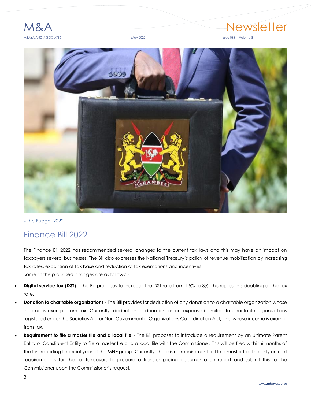

# 1&A Newsletter

<span id="page-5-0"></span>

» The Budget 2022

### Finance Bill 2022

The Finance Bill 2022 has recommended several changes to the current tax laws and this may have an impact on taxpayers several businesses. The Bill also expresses the National Treasury's policy of revenue mobilization by increasing tax rates, expansion of tax base and reduction of tax exemptions and incentives. Some of the proposed changes are as follows: -

- **Digital service tax (DST) -** The Bill proposes to increase the DST rate from 1.5% to 3%. This represents doubling of the tax rate.
- **Donation to charitable organizations -** The Bill provides for deduction of any donation to a charitable organization whose income is exempt from tax. Currently, deduction of donation as an expense is limited to charitable organizations registered under the Societies Act or Non-Governmental Organizations Co-ordination Act, and whose income is exempt from tax.
- **Requirement to file a master file and a local file -** The Bill proposes to introduce a requirement by an Ultimate Parent Entity or Constituent Entity to file a master file and a local file with the Commissioner. This will be filed within 6 months of the last reporting financial year of the MNE group. Currently, there is no requirement to file a master file. The only current requirement is for the for taxpayers to prepare a transfer pricing documentation report and submit this to the Commissioner upon the Commissioner's request.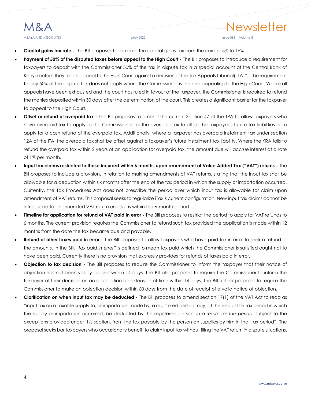# MBAYA AND ASSOCIATES **May 2022** May 2022 May 2022 May 2022 Also entitled the USSUE 083 | Volume 8

- **Capital gains tax rate -** The Bill proposes to increase the capital gains tax from the current 5% to 15%.
- **Payment of 50% of the disputed taxes before appeal to the High Court -** The Bill proposes to introduce a requirement for taxpayers to deposit with the Commissioner 50% of the tax in dispute tax in a special account at the Central Bank of Kenya before they file an appeal to the High Court against a decision of the Tax Appeals Tribunal("TAT"). The requirement to pay 50% of the dispute tax does not apply where the Commissioner is the one appealing to the High Court. Where all appeals have been exhausted and the court has ruled in favour of the taxpayer, the Commissioner is required to refund the monies deposited within 30 days after the determination of the court. This creates a significant barrier for the taxpayer to appeal to the High Court.
- **Offset or refund of overpaid tax -** The Bill proposes to amend the current Section 47 of the TPA to allow taxpayers who have overpaid tax to apply to the Commissioner for the overpaid tax to offset the taxpayer's future tax liabilities or to apply for a cash refund of the overpaid tax. Additionally, where a taxpayer has overpaid instalment tax under section 12A of the ITA, the overpaid tax shall be offset against a taxpayer's future installment tax liability. Where the KRA fails to refund the overpaid tax within 2 years of an application for overpaid tax, the amount due will accrue interest at a rate of 1% per month.
- **Input tax claims restricted to those incurred within 6 months upon amendment of Value Added Tax ("VAT") returns -** The Bill proposes to include a provision, in relation to making amendments of VAT returns, stating that the input tax shall be allowable for a deduction within six months after the end of the tax period in which the supply or importation occurred. Currently, the Tax Procedures Act does not prescribe the period over which input tax is allowable for claim upon amendment of VAT returns. This proposal seeks to regularize iTax's current configuration. New input tax claims cannot be introduced to an amended VAT return unless it is within the 6-month period.
- **Timeline for application for refund of VAT paid in error -** The Bill proposes to restrict the period to apply for VAT refunds to 6 months. The current provision requires the Commissioner to refund such tax provided the application is made within 12 months from the date the tax became due and payable.
- **Refund of other taxes paid in error -** The Bill proposes to allow taxpayers who have paid tax in error to seek a refund of the amounts. In the Bill, "*tax paid in error*" is defined to mean tax paid which the Commissioner is satisfied ought not to have been paid. Currently there is no provision that expressly provides for refunds of taxes paid in error.
- **Objection to tax decision -** The Bill proposes to require the Commissioner to inform the taxpayer that their notice of objection has not been validly lodged within 14 days. The Bill also proposes to require the Commissioner to inform the taxpayer of their decision on an application for extension of time within 14 days. The Bill further proposes to require the Commissioner to make an objection decision within 60 days from the date of receipt of a valid notice of objection.
- **Clarification on when input tax may be deducted -** The Bill proposes to amend section 17(1) of the VAT Act to read as "input tax on a taxable supply to, or importation made by, a registered person may, at the end of the tax period in which the supply or importation occurred, be deducted by the registered person, *in a return for the period*, subject to the exceptions provided under this section, from the tax payable by the person on supplies by him in that tax period". The proposal seeks bar taxpayers who occasionally benefit to claim input tax without filing the VAT return in dispute situations.

Newsletter